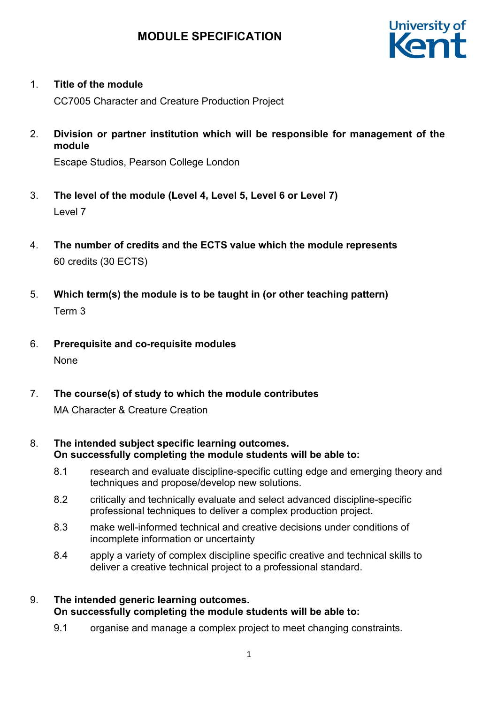# **MODULE SPECIFICATION**



### 1. **Title of the module**

CC7005 Character and Creature Production Project

2. **Division or partner institution which will be responsible for management of the module**

Escape Studios, Pearson College London

- 3. **The level of the module (Level 4, Level 5, Level 6 or Level 7)** Level 7
- 4. **The number of credits and the ECTS value which the module represents**  60 credits (30 ECTS)
- 5. **Which term(s) the module is to be taught in (or other teaching pattern)** Term 3
- 6. **Prerequisite and co-requisite modules** None
- 7. **The course(s) of study to which the module contributes** MA Character & Creature Creation
- 8. **The intended subject specific learning outcomes. On successfully completing the module students will be able to:**
	- 8.1 research and evaluate discipline-specific cutting edge and emerging theory and techniques and propose/develop new solutions.
	- 8.2 critically and technically evaluate and select advanced discipline-specific professional techniques to deliver a complex production project.
	- 8.3 make well-informed technical and creative decisions under conditions of incomplete information or uncertainty
	- 8.4 apply a variety of complex discipline specific creative and technical skills to deliver a creative technical project to a professional standard.
- 9. **The intended generic learning outcomes. On successfully completing the module students will be able to:**
	- 9.1 organise and manage a complex project to meet changing constraints.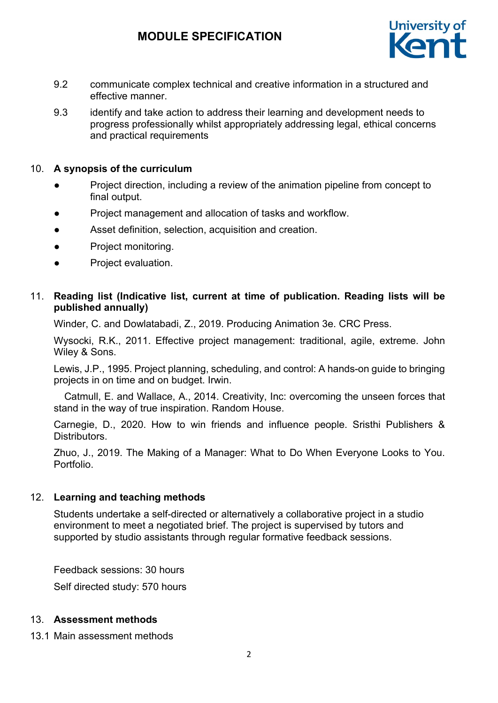# **MODULE SPECIFICATION**



- 9.2 communicate complex technical and creative information in a structured and effective manner.
- 9.3 identify and take action to address their learning and development needs to progress professionally whilst appropriately addressing legal, ethical concerns and practical requirements

#### 10. **A synopsis of the curriculum**

- Project direction, including a review of the animation pipeline from concept to final output.
- Project management and allocation of tasks and workflow.
- Asset definition, selection, acquisition and creation.
- Project monitoring.
- Project evaluation.

# 11. **Reading list (Indicative list, current at time of publication. Reading lists will be published annually)**

Winder, C. and Dowlatabadi, Z., 2019. Producing Animation 3e. CRC Press.

Wysocki, R.K., 2011. Effective project management: traditional, agile, extreme. John Wiley & Sons.

Lewis, J.P., 1995. Project planning, scheduling, and control: A hands-on guide to bringing projects in on time and on budget. Irwin.

 Catmull, E. and Wallace, A., 2014. Creativity, Inc: overcoming the unseen forces that stand in the way of true inspiration. Random House.

Carnegie, D., 2020. How to win friends and influence people. Sristhi Publishers & Distributors.

Zhuo, J., 2019. The Making of a Manager: What to Do When Everyone Looks to You. Portfolio.

#### 12. **Learning and teaching methods**

Students undertake a self-directed or alternatively a collaborative project in a studio environment to meet a negotiated brief. The project is supervised by tutors and supported by studio assistants through regular formative feedback sessions.

Feedback sessions: 30 hours

Self directed study: 570 hours

#### 13. **Assessment methods**

13.1 Main assessment methods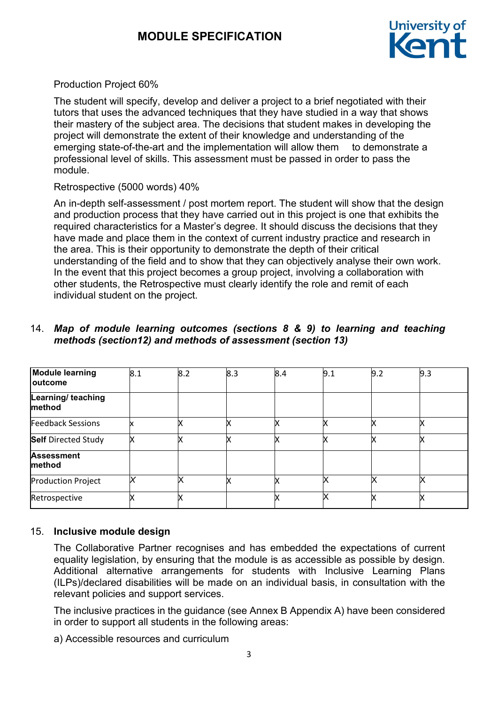

Production Project 60%

The student will specify, develop and deliver a project to a brief negotiated with their tutors that uses the advanced techniques that they have studied in a way that shows their mastery of the subject area. The decisions that student makes in developing the project will demonstrate the extent of their knowledge and understanding of the emerging state-of-the-art and the implementation will allow them to demonstrate a professional level of skills. This assessment must be passed in order to pass the module.

# Retrospective (5000 words) 40%

An in-depth self-assessment / post mortem report. The student will show that the design and production process that they have carried out in this project is one that exhibits the required characteristics for a Master's degree. It should discuss the decisions that they have made and place them in the context of current industry practice and research in the area. This is their opportunity to demonstrate the depth of their critical understanding of the field and to show that they can objectively analyse their own work. In the event that this project becomes a group project, involving a collaboration with other students, the Retrospective must clearly identify the role and remit of each individual student on the project.

# 14. *Map of module learning outcomes (sections 8 & 9) to learning and teaching methods (section12) and methods of assessment (section 13)*

| <b>Module learning</b><br><b>loutcome</b> | 8.1 | 8.2 | 8.3 | 8.4 | 9.1         | 9.2 | 9.3 |
|-------------------------------------------|-----|-----|-----|-----|-------------|-----|-----|
| Learning/ teaching<br>method              |     |     |     |     |             |     |     |
| <b>Feedback Sessions</b>                  |     |     | x   |     | У           |     |     |
| <b>Self</b> Directed Study                |     |     |     |     |             |     |     |
| <b>Assessment</b><br>method               |     |     |     |     |             |     |     |
| <b>Production Project</b>                 |     |     |     |     | $\check{ }$ |     |     |
| Retrospective                             |     |     |     |     | x           |     |     |

# 15. **Inclusive module design**

The Collaborative Partner recognises and has embedded the expectations of current equality legislation, by ensuring that the module is as accessible as possible by design. Additional alternative arrangements for students with Inclusive Learning Plans (ILPs)/declared disabilities will be made on an individual basis, in consultation with the relevant policies and support services.

The inclusive practices in the guidance (see Annex B Appendix A) have been considered in order to support all students in the following areas:

a) Accessible resources and curriculum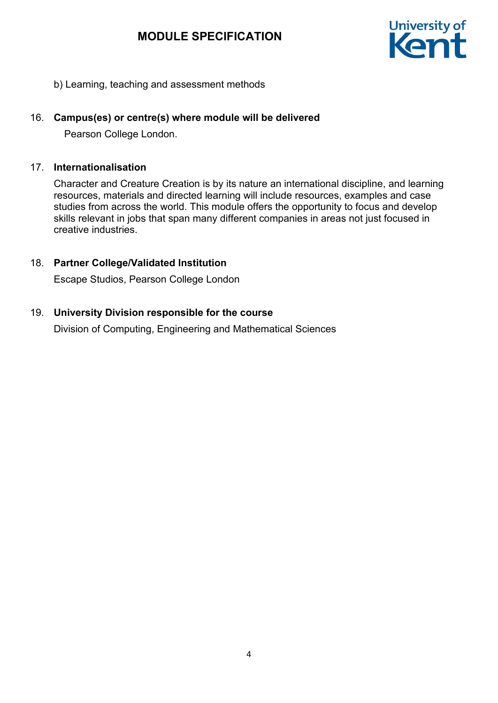# **MODULE SPECIFICATION**



b) Learning, teaching and assessment methods

# 16. **Campus(es) or centre(s) where module will be delivered**

Pearson College London.

#### 17. **Internationalisation**

Character and Creature Creation is by its nature an international discipline, and learning resources, materials and directed learning will include resources, examples and case studies from across the world. This module offers the opportunity to focus and develop skills relevant in jobs that span many different companies in areas not just focused in creative industries.

# 18. **Partner College/Validated Institution**

Escape Studios, Pearson College London

# 19. **University Division responsible for the course**

Division of Computing, Engineering and Mathematical Sciences